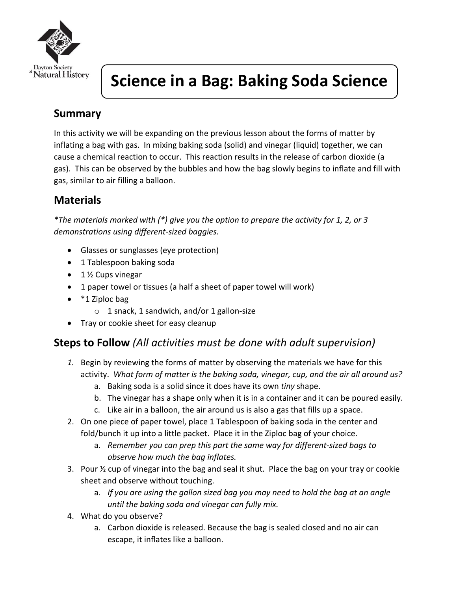

# **Science in a Bag: Baking Soda Science**

## **Summary**

In this activity we will be expanding on the previous lesson about the forms of matter by inflating a bag with gas. In mixing baking soda (solid) and vinegar (liquid) together, we can cause a chemical reaction to occur. This reaction results in the release of carbon dioxide (a gas). This can be observed by the bubbles and how the bag slowly begins to inflate and fill with gas, similar to air filling a balloon.

# **Materials**

*\*The materials marked with (\*) give you the option to prepare the activity for 1, 2, or 3 demonstrations using different-sized baggies.* 

- Glasses or sunglasses (eye protection)
- 1 Tablespoon baking soda
- 1 ½ Cups vinegar
- 1 paper towel or tissues (a half a sheet of paper towel will work)
- \*1 Ziploc bag
	- o 1 snack, 1 sandwich, and/or 1 gallon-size
- Tray or cookie sheet for easy cleanup

#### **Steps to Follow** *(All activities must be done with adult supervision)*

- *1.* Begin by reviewing the forms of matter by observing the materials we have for this activity. *What form of matter is the baking soda, vinegar, cup, and the air all around us?*
	- a. Baking soda is a solid since it does have its own *tiny* shape.
	- b. The vinegar has a shape only when it is in a container and it can be poured easily.
	- c. Like air in a balloon, the air around us is also a gas that fills up a space.
- 2. On one piece of paper towel, place 1 Tablespoon of baking soda in the center and fold/bunch it up into a little packet. Place it in the Ziploc bag of your choice.
	- a. *Remember you can prep this part the same way for different-sized bags to observe how much the bag inflates.*
- 3. Pour ½ cup of vinegar into the bag and seal it shut. Place the bag on your tray or cookie sheet and observe without touching.
	- a. *If you are using the gallon sized bag you may need to hold the bag at an angle until the baking soda and vinegar can fully mix.*
- 4. What do you observe?
	- a. Carbon dioxide is released. Because the bag is sealed closed and no air can escape, it inflates like a balloon.